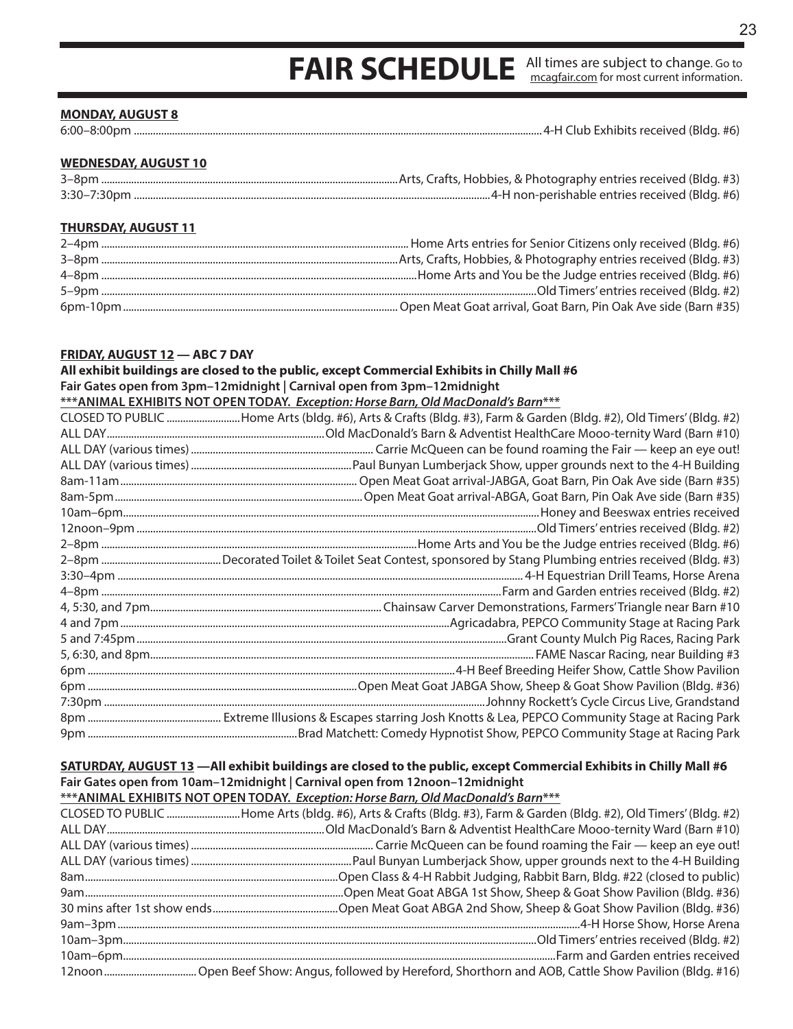## **FAIR SCHEDULE** All times are subject to change. Go to mcagfair.com for most current information.

#### **MONDAY, AUGUST 8**

6:00–8:00pm ......................................................................................................................................................4-H Club Exhibits received (Bldg. #6)

#### **WEDNESDAY, AUGUST 10**

| $3 - 8$ pn       |                                                |
|------------------|------------------------------------------------|
| $3:30 - 7:30$ pm | 4-H non-perishable entries received (Bldg. #6) |

#### **THURSDAY, AUGUST 11**

#### **FRIDAY, AUGUST 12 — ABC 7 DAY**

**All exhibit buildings are closed to the public, except Commercial Exhibits in Chilly Mall #6 Fair Gates open from 3pm–12midnight | Carnival open from 3pm–12midnight \*\*\*ANIMAL EXHIBITS NOT OPEN TODAY.** *Exception: Horse Barn, Old MacDonald's Barn***\*\*\*** CLOSED TO PUBLIC ...........................Home Arts (bldg. #6), Arts & Crafts (Bldg. #3), Farm & Garden (Bldg. #2), Old Timers' (Bldg. #2) ALL DAY................................................................................Old MacDonald's Barn & Adventist HealthCare Mooo-ternity Ward (Barn #10) ALL DAY (various times)................................................................... Carrie McQueen can be found roaming the Fair — keep an eye out! ALL DAY (various times)...........................................................Paul Bunyan Lumberjack Show, upper grounds next to the 4-H Building 8am-11am....................................................................................... Open Meat Goat arrival-JABGA, Goat Barn, Pin Oak Ave side (Barn #35) 8am-5pm...........................................................................................Open Meat Goat arrival-ABGA, Goat Barn, Pin Oak Ave side (Barn #35) 10am–6pm.........................................................................................................................................................Honey and Beeswax entries received 12noon–9pm ...................................................................................................................................................Old Timers' entries received (Bldg. #2) 2–8pm ....................................................................................................................Home Arts and You be the Judge entries received (Bldg. #6) 2–8pm ............................................Decorated Toilet & Toilet Seat Contest, sponsored by Stang Plumbing entries received (Bldg. #3) 3:30–4pm ..................................................................................................................................................... 4-H Equestrian Drill Teams, Horse Arena 4–8pm ...................................................................................................................................................Farm and Garden entries received (Bldg. #2) 4, 5:30, and 7pm..................................................................................... Chainsaw Carver Demonstrations, Farmers' Triangle near Barn #10 4 and 7pm.........................................................................................................................Agricadabra, PEPCO Community Stage at Racing Park 5 and 7:45pm........................................................................................................................................Grant County Mulch Pig Races, Racing Park 5, 6:30, and 8pm............................................................................................................................................. FAME Nascar Racing, near Building #3 6pm .......................................................................................................................................4-H Beef Breeding Heifer Show, Cattle Show Pavilion 6pm ...................................................................................................Open Meat Goat JABGA Show, Sheep & Goat Show Pavilion (Bldg. #36) 7:30pm ............................................................................................................................................Johnny Rockett's Cycle Circus Live, Grandstand 8pm ................................................. Extreme Illusions & Escapes starring Josh Knotts & Lea, PEPCO Community Stage at Racing Park 9pm .............................................................................Brad Matchett: Comedy Hypnotist Show, PEPCO Community Stage at Racing Park

### **SATURDAY, AUGUST 13 —All exhibit buildings are closed to the public, except Commercial Exhibits in Chilly Mall #6 Fair Gates open from 10am–12midnight | Carnival open from 12noon–12midnight**

**\*\*\*ANIMAL EXHIBITS NOT OPEN TODAY.** *Exception: Horse Barn, Old MacDonald's Barn***\*\*\***

| CLOSED TO PUBLIC Home Arts (bldg. #6), Arts & Crafts (Bldg. #3), Farm & Garden (Bldg. #2), Old Timers' (Bldg. #2) |
|-------------------------------------------------------------------------------------------------------------------|
|                                                                                                                   |
|                                                                                                                   |
|                                                                                                                   |
|                                                                                                                   |
|                                                                                                                   |
|                                                                                                                   |
|                                                                                                                   |
|                                                                                                                   |
|                                                                                                                   |
|                                                                                                                   |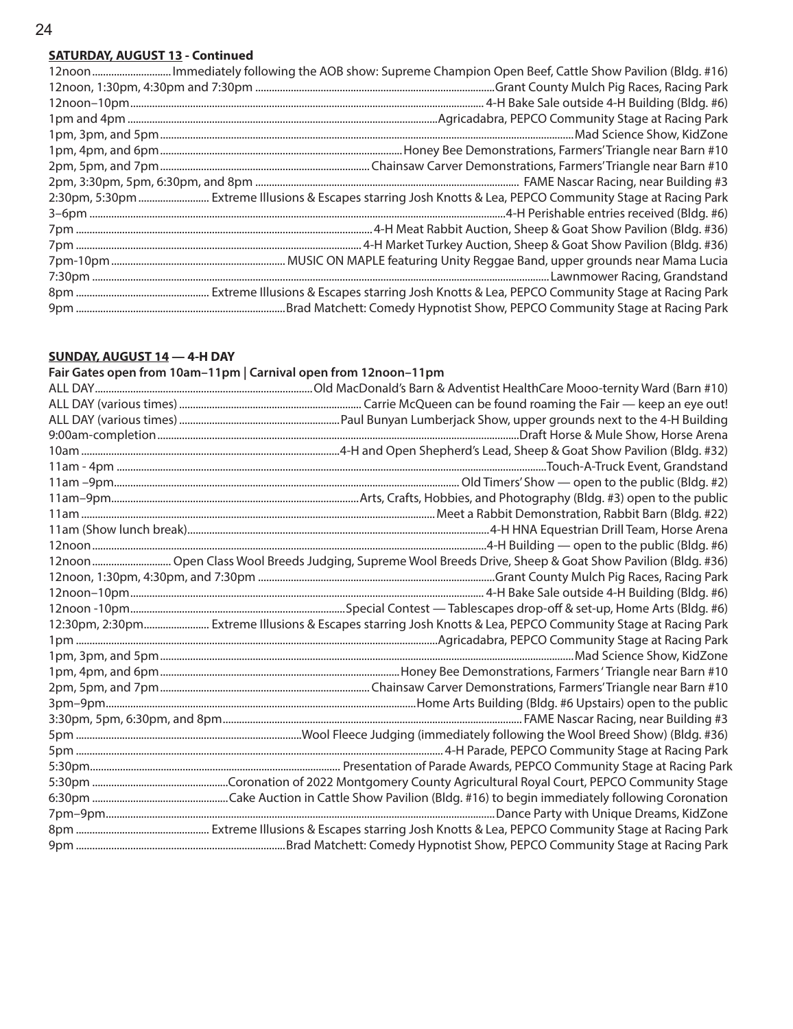## **SATURDAY, AUGUST 13 - Continued**

| 12noon Immediately following the AOB show: Supreme Champion Open Beef, Cattle Show Pavilion (Bldg. #16)      |
|--------------------------------------------------------------------------------------------------------------|
|                                                                                                              |
|                                                                                                              |
|                                                                                                              |
|                                                                                                              |
|                                                                                                              |
|                                                                                                              |
|                                                                                                              |
| 2:30pm, 5:30pm  Extreme Illusions & Escapes starring Josh Knotts & Lea, PEPCO Community Stage at Racing Park |
|                                                                                                              |
|                                                                                                              |
|                                                                                                              |
|                                                                                                              |
|                                                                                                              |
|                                                                                                              |
|                                                                                                              |

## **SUNDAY, AUGUST 14 — 4-H DAY**

**Fair Gates open from 10am–11pm | Carnival open from 12noon–11pm**

| 12noon Open Class Wool Breeds Judging, Supreme Wool Breeds Drive, Sheep & Goat Show Pavilion (Bldg. #36) |
|----------------------------------------------------------------------------------------------------------|
|                                                                                                          |
|                                                                                                          |
|                                                                                                          |
|                                                                                                          |
|                                                                                                          |
|                                                                                                          |
|                                                                                                          |
|                                                                                                          |
|                                                                                                          |
|                                                                                                          |
|                                                                                                          |
|                                                                                                          |
|                                                                                                          |
|                                                                                                          |
|                                                                                                          |
|                                                                                                          |
|                                                                                                          |
|                                                                                                          |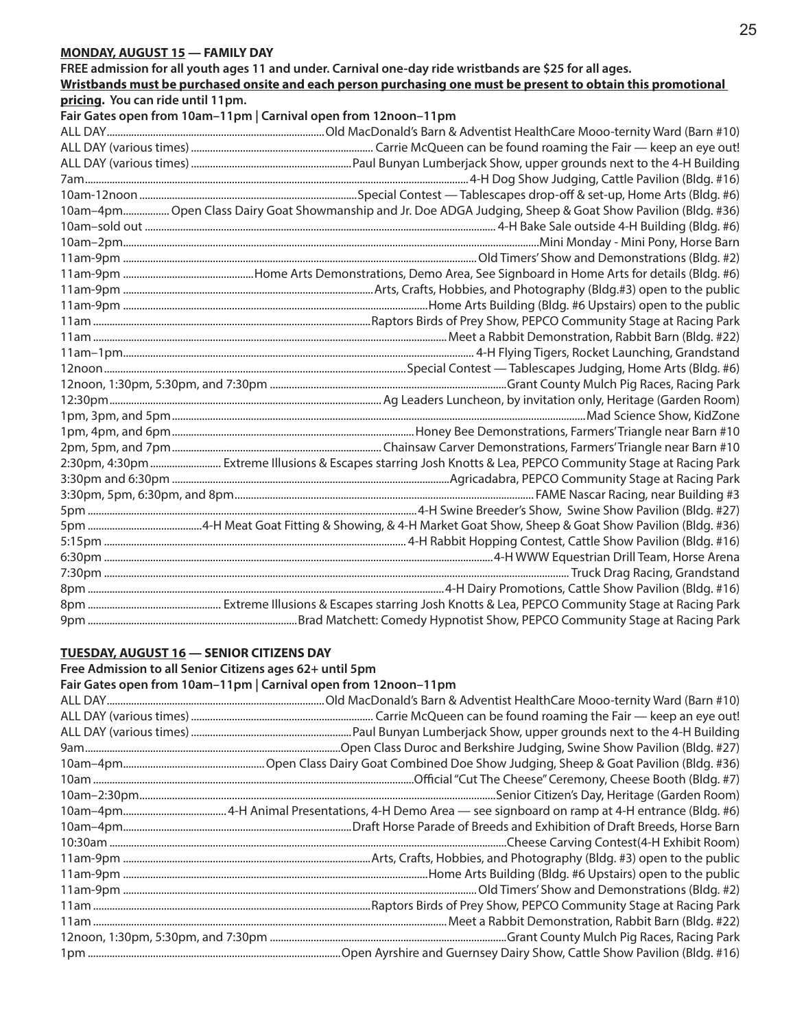#### **MONDAY, AUGUST 15 — FAMILY DAY**

**FREE admission for all youth ages 11 and under. Carnival one-day ride wristbands are \$25 for all ages.** 

|                                   | Wristbands must be purchased onsite and each person purchasing one must be present to obtain this promotional |
|-----------------------------------|---------------------------------------------------------------------------------------------------------------|
| pricing. You can ride until 11pm. |                                                                                                               |
|                                   | Fair Gates open from 10am-11pm   Carnival open from 12noon-11pm                                               |
|                                   |                                                                                                               |
|                                   |                                                                                                               |
|                                   |                                                                                                               |
|                                   |                                                                                                               |
|                                   |                                                                                                               |
|                                   | 10am-4pm Open Class Dairy Goat Showmanship and Jr. Doe ADGA Judging, Sheep & Goat Show Pavilion (Bldg. #36)   |
|                                   |                                                                                                               |
|                                   |                                                                                                               |
|                                   |                                                                                                               |
|                                   |                                                                                                               |
|                                   |                                                                                                               |
|                                   |                                                                                                               |
|                                   |                                                                                                               |
|                                   |                                                                                                               |
|                                   |                                                                                                               |
|                                   |                                                                                                               |
|                                   |                                                                                                               |
|                                   |                                                                                                               |
|                                   |                                                                                                               |
|                                   |                                                                                                               |
|                                   |                                                                                                               |
|                                   | 2:30pm, 4:30pm  Extreme Illusions & Escapes starring Josh Knotts & Lea, PEPCO Community Stage at Racing Park  |
|                                   |                                                                                                               |
|                                   |                                                                                                               |
|                                   |                                                                                                               |
|                                   |                                                                                                               |
|                                   |                                                                                                               |
|                                   |                                                                                                               |
|                                   |                                                                                                               |
|                                   |                                                                                                               |
|                                   |                                                                                                               |
|                                   |                                                                                                               |

#### **TUESDAY, AUGUST 16 — SENIOR CITIZENS DAY**

**Free Admission to all Senior Citizens ages 62+ until 5pm Fair Gates open from 10am–11pm | Carnival open from 12noon–11pm** ALL DAY................................................................................Old MacDonald's Barn & Adventist HealthCare Mooo-ternity Ward (Barn #10) ALL DAY (various times)................................................................... Carrie McQueen can be found roaming the Fair — keep an eye out! ALL DAY (various times)...........................................................Paul Bunyan Lumberjack Show, upper grounds next to the 4-H Building 9am..............................................................................................Open Class Duroc and Berkshire Judging, Swine Show Pavilion (Bldg. #27) 10am–4pm....................................................Open Class Dairy Goat Combined Doe Show Judging, Sheep & Goat Pavilion (Bldg. #36) 10am ......................................................................................................................Official "Cut The Cheese" Ceremony, Cheese Booth (Bldg. #7) 10am–2:30pm...................................................................................................................................Senior Citizen's Day, Heritage (Garden Room) 10am–4pm......................................4-H Animal Presentations, 4-H Demo Area — see signboard on ramp at 4-H entrance (Bldg. #6) 10am–4pm....................................................................................Draft Horse Parade of Breeds and Exhibition of Draft Breeds, Horse Barn 10:30am ..................................................................................................................................................Cheese Carving Contest(4-H Exhibit Room) 11am-9pm ...........................................................................................Arts, Crafts, Hobbies, and Photography (Bldg. #3) open to the public 11am-9pm ................................................................................................................Home Arts Building (Bldg. #6 Upstairs) open to the public 11am-9pm ..................................................................................................................................Old Timers' Show and Demonstrations (Bldg. #2) 11am ......................................................................................................Raptors Birds of Prey Show, PEPCO Community Stage at Racing Park 11am ..................................................................................................................................Meet a Rabbit Demonstration, Rabbit Barn (Bldg. #22) 12noon, 1:30pm, 5:30pm, and 7:30pm .......................................................................................Grant County Mulch Pig Races, Racing Park 1pm .............................................................................................Open Ayrshire and Guernsey Dairy Show, Cattle Show Pavilion (Bldg. #16)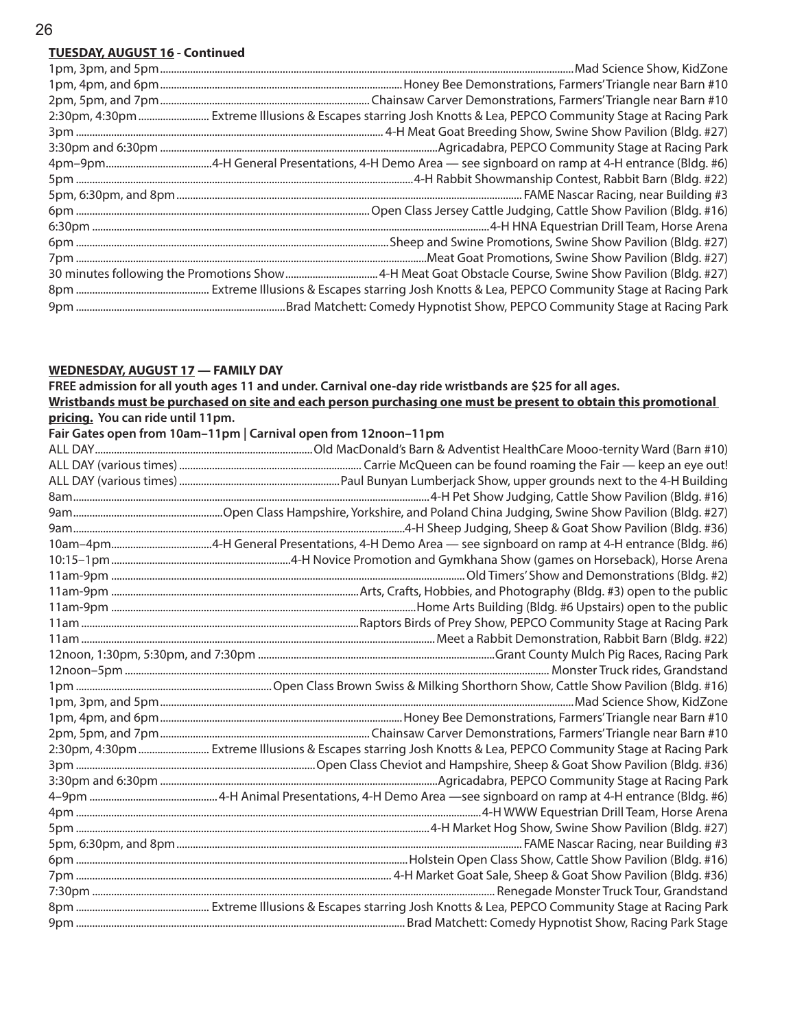## **TUESDAY, AUGUST 16 - Continued**

| 2:30pm, 4:30pm  Extreme Illusions & Escapes starring Josh Knotts & Lea, PEPCO Community Stage at Racing Park |
|--------------------------------------------------------------------------------------------------------------|
|                                                                                                              |
|                                                                                                              |
|                                                                                                              |
|                                                                                                              |
|                                                                                                              |
|                                                                                                              |
|                                                                                                              |
|                                                                                                              |
|                                                                                                              |
|                                                                                                              |
|                                                                                                              |
|                                                                                                              |

# **WEDNESDAY, AUGUST 17 — FAMILY DAY**

|                                   | FREE admission for all youth ages 11 and under. Carnival one-day ride wristbands are \$25 for all ages.        |
|-----------------------------------|----------------------------------------------------------------------------------------------------------------|
|                                   | Wristbands must be purchased on site and each person purchasing one must be present to obtain this promotional |
| pricing. You can ride until 11pm. |                                                                                                                |
|                                   | Fair Gates open from 10am-11pm   Carnival open from 12noon-11pm                                                |
|                                   |                                                                                                                |
|                                   |                                                                                                                |
|                                   |                                                                                                                |
|                                   |                                                                                                                |
|                                   |                                                                                                                |
|                                   |                                                                                                                |
|                                   |                                                                                                                |
|                                   |                                                                                                                |
|                                   |                                                                                                                |
|                                   |                                                                                                                |
|                                   |                                                                                                                |
|                                   |                                                                                                                |
|                                   |                                                                                                                |
|                                   |                                                                                                                |
|                                   |                                                                                                                |
|                                   |                                                                                                                |
|                                   |                                                                                                                |
|                                   |                                                                                                                |
|                                   |                                                                                                                |
|                                   | 2:30pm, 4:30pm  Extreme Illusions & Escapes starring Josh Knotts & Lea, PEPCO Community Stage at Racing Park   |
|                                   |                                                                                                                |
|                                   |                                                                                                                |
|                                   |                                                                                                                |
|                                   |                                                                                                                |
|                                   |                                                                                                                |
|                                   |                                                                                                                |
|                                   |                                                                                                                |
|                                   |                                                                                                                |
|                                   |                                                                                                                |
|                                   |                                                                                                                |
|                                   |                                                                                                                |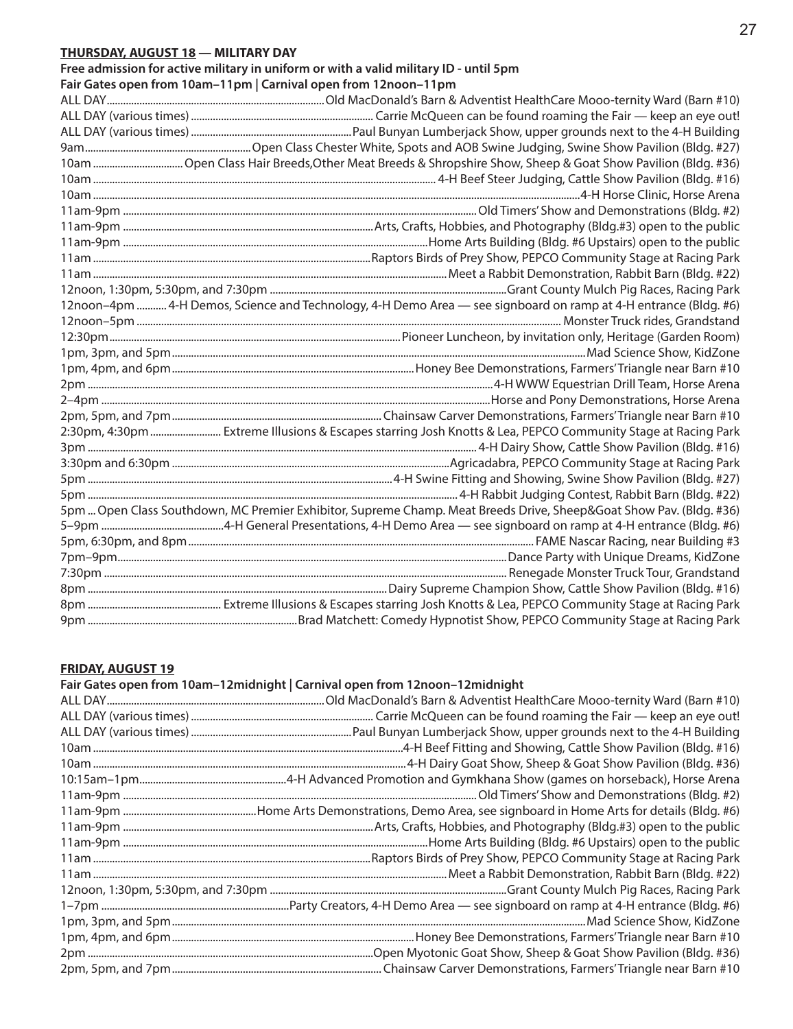## **THURSDAY, AUGUST 18 — MILITARY DAY**

**Free admission for active military in uniform or with a valid military ID - until 5pm**

**Fair Gates open from 10am–11pm | Carnival open from 12noon–11pm**

| 12noon-4pm  4-H Demos, Science and Technology, 4-H Demo Area - see signboard on ramp at 4-H entrance (Bldg. #6)     |
|---------------------------------------------------------------------------------------------------------------------|
|                                                                                                                     |
|                                                                                                                     |
|                                                                                                                     |
|                                                                                                                     |
|                                                                                                                     |
|                                                                                                                     |
|                                                                                                                     |
| 2:30pm, 4:30pm  Extreme Illusions & Escapes starring Josh Knotts & Lea, PEPCO Community Stage at Racing Park        |
|                                                                                                                     |
|                                                                                                                     |
|                                                                                                                     |
|                                                                                                                     |
| 5pm  Open Class Southdown, MC Premier Exhibitor, Supreme Champ. Meat Breeds Drive, Sheep&Goat Show Pav. (Bldg. #36) |
|                                                                                                                     |
|                                                                                                                     |
|                                                                                                                     |
|                                                                                                                     |
|                                                                                                                     |
|                                                                                                                     |
|                                                                                                                     |

#### **FRIDAY, AUGUST 19**

| Fair Gates open from 10am-12midnight   Carnival open from 12noon-12midnight |
|-----------------------------------------------------------------------------|
|                                                                             |
|                                                                             |
|                                                                             |
|                                                                             |
|                                                                             |
|                                                                             |
|                                                                             |
|                                                                             |
|                                                                             |
|                                                                             |
|                                                                             |
|                                                                             |
|                                                                             |
|                                                                             |
|                                                                             |
|                                                                             |
|                                                                             |
|                                                                             |